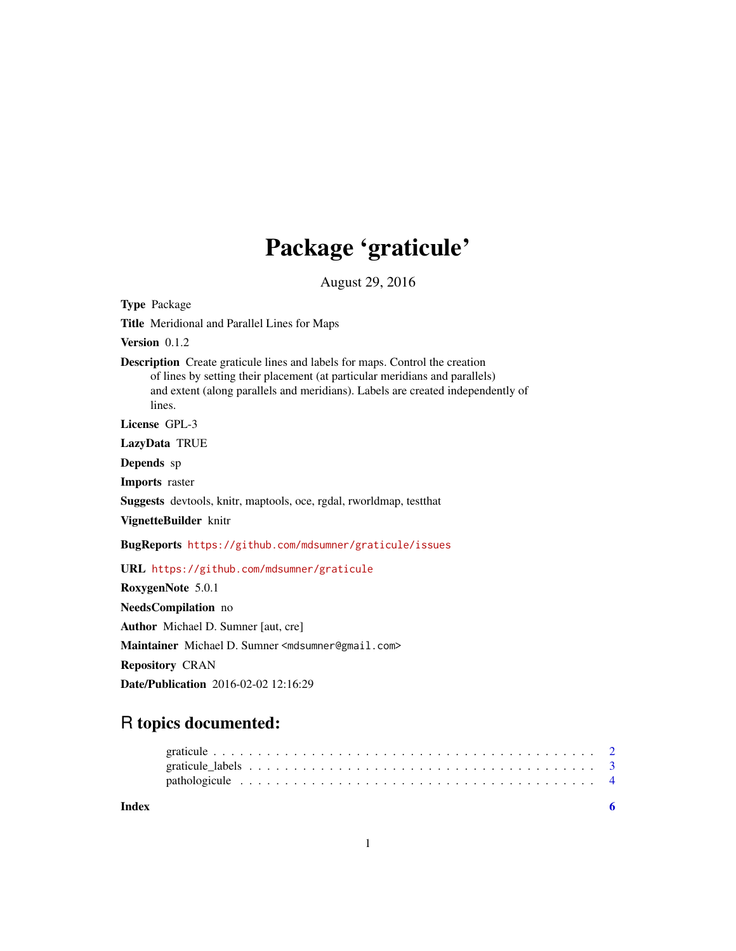## Package 'graticule'

August 29, 2016

Title Meridional and Parallel Lines for Maps Version 0.1.2 Description Create graticule lines and labels for maps. Control the creation of lines by setting their placement (at particular meridians and parallels) and extent (along parallels and meridians). Labels are created independently of lines. License GPL-3 LazyData TRUE Depends sp Imports raster Suggests devtools, knitr, maptools, oce, rgdal, rworldmap, testthat VignetteBuilder knitr BugReports <https://github.com/mdsumner/graticule/issues> URL <https://github.com/mdsumner/graticule> RoxygenNote 5.0.1 NeedsCompilation no Author Michael D. Sumner [aut, cre] Maintainer Michael D. Sumner <mdsumner@gmail.com> Repository CRAN Date/Publication 2016-02-02 12:16:29

### R topics documented:

| Index |  |  |  |  |  |  |  |  |  |  |  |  |  |  |  |  |  |  |  |
|-------|--|--|--|--|--|--|--|--|--|--|--|--|--|--|--|--|--|--|--|
|       |  |  |  |  |  |  |  |  |  |  |  |  |  |  |  |  |  |  |  |
|       |  |  |  |  |  |  |  |  |  |  |  |  |  |  |  |  |  |  |  |
|       |  |  |  |  |  |  |  |  |  |  |  |  |  |  |  |  |  |  |  |

Type Package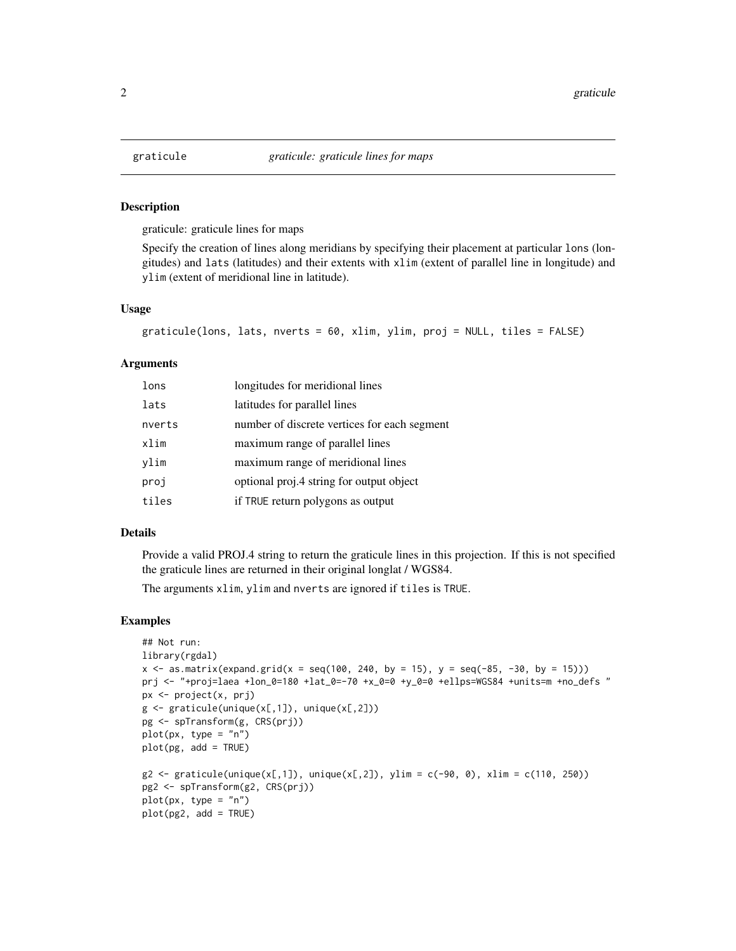<span id="page-1-1"></span><span id="page-1-0"></span>

#### Description

graticule: graticule lines for maps

Specify the creation of lines along meridians by specifying their placement at particular lons (longitudes) and lats (latitudes) and their extents with xlim (extent of parallel line in longitude) and ylim (extent of meridional line in latitude).

#### Usage

```
graticule(lons, lats, nverts = 60, xlim, ylim, proj = NULL, tiles = FALSE)
```
#### Arguments

| lons   | longitudes for meridional lines              |
|--------|----------------------------------------------|
| lats   | latitudes for parallel lines                 |
| nverts | number of discrete vertices for each segment |
| xlim   | maximum range of parallel lines              |
| ylim   | maximum range of meridional lines            |
| proj   | optional proj.4 string for output object     |
| tiles  | if TRUE return polygons as output            |

#### Details

Provide a valid PROJ.4 string to return the graticule lines in this projection. If this is not specified the graticule lines are returned in their original longlat / WGS84.

The arguments xlim, ylim and nverts are ignored if tiles is TRUE.

#### Examples

```
## Not run:
library(rgdal)
x \le - as.matrix(expand.grid(x = \text{seq}(100, 240, \text{ by } = 15), y = \text{seq}(-85, -30, \text{ by } = 15)))
prj <- "+proj=laea +lon_0=180 +lat_0=-70 +x_0=0 +y_0=0 +ellps=WGS84 +units=m +no_defs "
px <- project(x, prj)
g \leftarrow graticule(unique(x[,1]), unique(x[,2]))
pg <- spTransform(g, CRS(prj))
plot(px, type = "n")plot(pg, add = TRUE)
g2 \leq - graticule(unique(x[,1]), unique(x[,2]), ylim = c(-90, 0), xlim = c(110, 250))
pg2 <- spTransform(g2, CRS(prj))
plot(px, type = "n")plot(pg2, add = TRUE)
```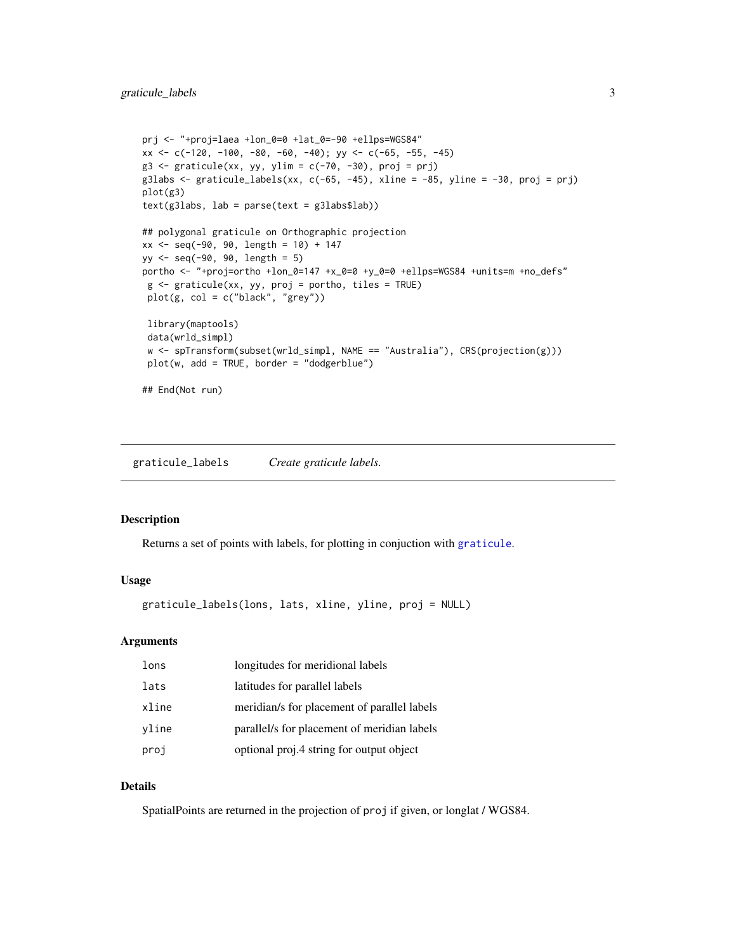```
prj <- "+proj=laea +lon_0=0 +lat_0=-90 +ellps=WGS84"
xx <- c(-120, -100, -80, -60, -40); yy <- c(-65, -55, -45)
g3 \leftarrow graticule(xx, yy, ylim = c(-70, -30), proj = prj)
g3labs \le graticule_labels(xx, c(-65, -45), xline = -85, yline = -30, proj = prj)
plot(g3)
text(g3labs, lab = parse(text = g3labs$lab))
## polygonal graticule on Orthographic projection
xx < - seq(-90, 90, length = 10) + 147
yy <- seq(-90, 90, length = 5)
portho <- "+proj=ortho +lon_0=147 +x_0=0 +y_0=0 +ellps=WGS84 +units=m +no_defs"
 g \leq - graticule(xx, yy, proj = portho, tiles = TRUE)
 plot(g, col = c("black", "grey"))library(maptools)
 data(wrld_simpl)
 w <- spTransform(subset(wrld_simpl, NAME == "Australia"), CRS(projection(g)))
 plot(w, add = TRUE, border = "dodgerblue")
## End(Not run)
```
graticule\_labels *Create graticule labels.*

#### Description

Returns a set of points with labels, for plotting in conjuction with [graticule](#page-1-1).

#### Usage

```
graticule_labels(lons, lats, xline, yline, proj = NULL)
```
#### Arguments

| lons  | longitudes for meridional labels            |
|-------|---------------------------------------------|
| lats  | latitudes for parallel labels               |
| xline | meridian/s for placement of parallel labels |
| yline | parallel/s for placement of meridian labels |
| proj  | optional proj.4 string for output object    |

#### Details

SpatialPoints are returned in the projection of proj if given, or longlat / WGS84.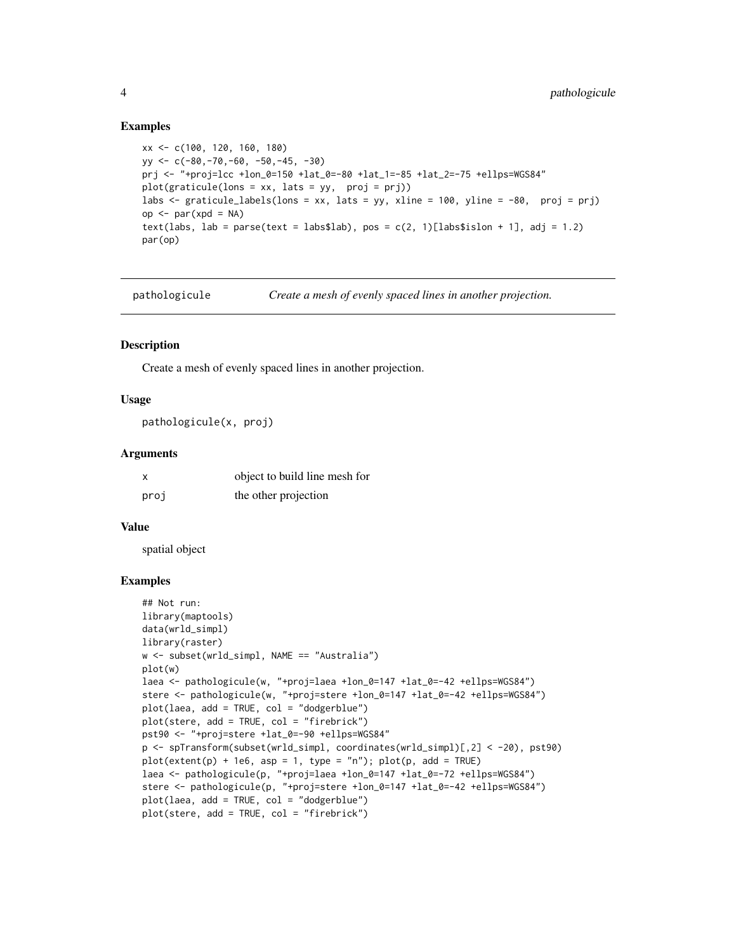#### Examples

```
xx <- c(100, 120, 160, 180)
yy <- c(-80,-70,-60, -50,-45, -30)
prj <- "+proj=lcc +lon_0=150 +lat_0=-80 +lat_1=-85 +lat_2=-75 +ellps=WGS84"
plot(gratioule(lons = xx, lats = yy, proj = pri))labs <- graticule_labels(lons = xx, lats = yy, xline = 100, yline = -80, proj = prj)
op <- par(xpd = NA)
text(labs, lab = parse(text = labs$lab), pos = c(2, 1)[labs$islon + 1], adj = 1.2)
par(op)
```
pathologicule *Create a mesh of evenly spaced lines in another projection.*

#### Description

Create a mesh of evenly spaced lines in another projection.

#### Usage

pathologicule(x, proj)

#### Arguments

|      | object to build line mesh for |
|------|-------------------------------|
| proj | the other projection          |

#### Value

spatial object

#### Examples

```
## Not run:
library(maptools)
data(wrld_simpl)
library(raster)
w <- subset(wrld_simpl, NAME == "Australia")
plot(w)
laea <- pathologicule(w, "+proj=laea +lon_0=147 +lat_0=-42 +ellps=WGS84")
stere <- pathologicule(w, "+proj=stere +lon_0=147 +lat_0=-42 +ellps=WGS84")
plot(laea, add = TRUE, col = "dodgerblue")
plot(stere, add = TRUE, col = "firebrick")
pst90 <- "+proj=stere +lat_0=-90 +ellps=WGS84"
p <- spTransform(subset(wrld_simpl, coordinates(wrld_simpl)[,2] < -20), pst90)
plot(extent(p) + 1e6, asp = 1, type = "n"); plot(p, add = TRUE)laea <- pathologicule(p, "+proj=laea +lon_0=147 +lat_0=-72 +ellps=WGS84")
stere <- pathologicule(p, "+proj=stere +lon_0=147 +lat_0=-42 +ellps=WGS84")
plot(laea, add = TRUE, col = "dodgerblue")
plot(stere, add = TRUE, col = "firebrick")
```
<span id="page-3-0"></span>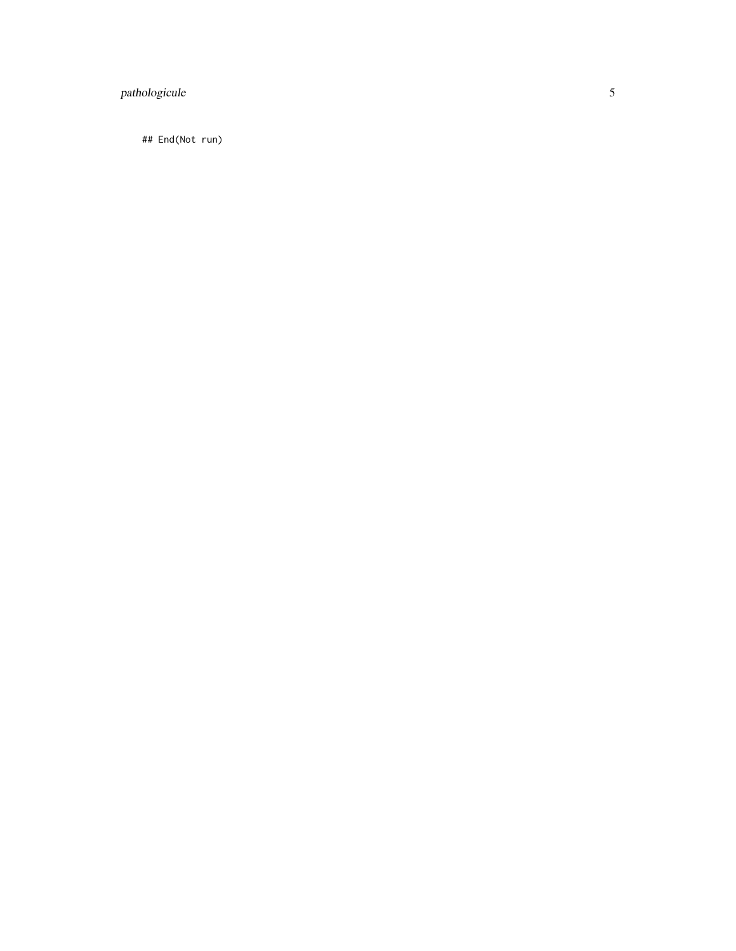#### pathologicule

## End(Not run)